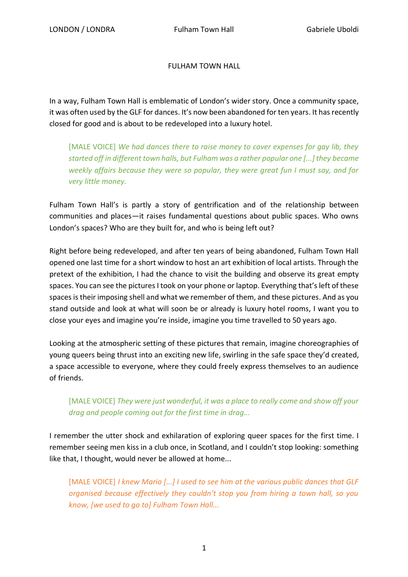## FULHAM TOWN HALL

In a way, Fulham Town Hall is emblematic of London's wider story. Once a community space, it was often used by the GLF for dances. It's now been abandoned for ten years. It has recently closed for good and is about to be redeveloped into a luxury hotel.

[MALE VOICE] *We had dances there to raise money to cover expenses for gay lib, they started off in different town halls, but Fulham was a rather popular one [...] they became weekly affairs because they were so popular, they were great fun I must say, and for very little money.* 

Fulham Town Hall's is partly a story of gentrification and of the relationship between communities and places—it raises fundamental questions about public spaces. Who owns London's spaces? Who are they built for, and who is being left out?

Right before being redeveloped, and after ten years of being abandoned, Fulham Town Hall opened one last time for a short window to host an art exhibition of local artists. Through the pretext of the exhibition, I had the chance to visit the building and observe its great empty spaces. You can see the pictures I took on your phone or laptop. Everything that's left of these spaces is their imposing shell and what we remember of them, and these pictures. And as you stand outside and look at what will soon be or already is luxury hotel rooms, I want you to close your eyes and imagine you're inside, imagine you time travelled to 50 years ago.

Looking at the atmospheric setting of these pictures that remain, imagine choreographies of young queers being thrust into an exciting new life, swirling in the safe space they'd created, a space accessible to everyone, where they could freely express themselves to an audience of friends.

## [MALE VOICE] *They were just wonderful, it was a place to really come and show off your drag and people coming out for the first time in drag...*

I remember the utter shock and exhilaration of exploring queer spaces for the first time. I remember seeing men kiss in a club once, in Scotland, and I couldn't stop looking: something like that, I thought, would never be allowed at home...

[MALE VOICE] *I knew Mario [...] I used to see him at the various public dances that GLF organised because effectively they couldn't stop you from hiring a town hall, so you know, [we used to go to] Fulham Town Hall...*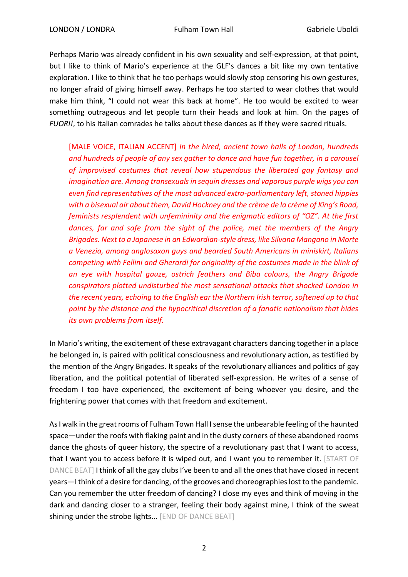Perhaps Mario was already confident in his own sexuality and self-expression, at that point, but I like to think of Mario's experience at the GLF's dances a bit like my own tentative exploration. I like to think that he too perhaps would slowly stop censoring his own gestures, no longer afraid of giving himself away. Perhaps he too started to wear clothes that would make him think, "I could not wear this back at home". He too would be excited to wear something outrageous and let people turn their heads and look at him. On the pages of *FUORI!*, to his Italian comrades he talks about these dances as if they were sacred rituals.

[MALE VOICE, ITALIAN ACCENT] *In the hired, ancient town halls of London, hundreds and hundreds of people of any sex gather to dance and have fun together, in a carousel of improvised costumes that reveal how stupendous the liberated gay fantasy and imagination are. Among transexuals in sequin dresses and vaporous purple wigs you can even find representatives of the most advanced extra-parliamentary left, stoned hippies with a bisexual air about them, David Hockney and the crème de la crème of King's Road, feminists resplendent with unfemininity and the enigmatic editors of "OZ". At the first dances, far and safe from the sight of the police, met the members of the Angry Brigades. Next to a Japanese in an Edwardian-style dress, like Silvana Mangano in Morte a Venezia, among anglosaxon guys and bearded South Americans in miniskirt, Italians competing with Fellini and Gherardi for originality of the costumes made in the blink of an eye with hospital gauze, ostrich feathers and Biba colours, the Angry Brigade conspirators plotted undisturbed the most sensational attacks that shocked London in the recent years, echoing to the English ear the Northern Irish terror, softened up to that point by the distance and the hypocritical discretion of a fanatic nationalism that hides its own problems from itself.*

In Mario's writing, the excitement of these extravagant characters dancing together in a place he belonged in, is paired with political consciousness and revolutionary action, as testified by the mention of the Angry Brigades. It speaks of the revolutionary alliances and politics of gay liberation, and the political potential of liberated self-expression. He writes of a sense of freedom I too have experienced, the excitement of being whoever you desire, and the frightening power that comes with that freedom and excitement.

As I walk in the great rooms of Fulham Town Hall I sense the unbearable feeling of the haunted space—under the roofs with flaking paint and in the dusty corners of these abandoned rooms dance the ghosts of queer history, the spectre of a revolutionary past that I want to access, that I want you to access before it is wiped out, and I want you to remember it. [START OF DANCE BEAT] I think of all the gay clubs I've been to and all the ones that have closed in recent years—I think of a desire for dancing, of the grooves and choreographies lost to the pandemic. Can you remember the utter freedom of dancing? I close my eyes and think of moving in the dark and dancing closer to a stranger, feeling their body against mine, I think of the sweat shining under the strobe lights... [END OF DANCE BEAT]

2